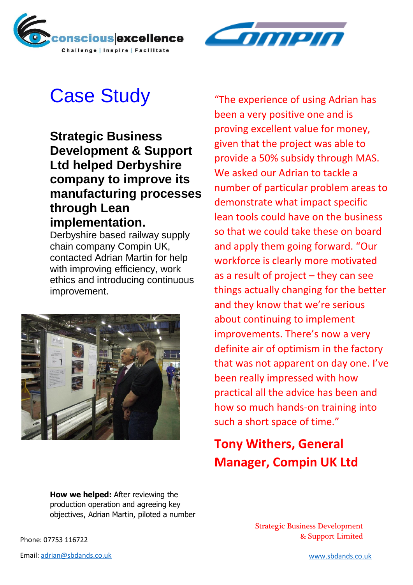



## Case Study

**Strategic Business Development & Support Ltd helped Derbyshire company to improve its manufacturing processes through Lean implementation.** 

Derbyshire based railway supply chain company Compin UK, contacted Adrian Martin for help with improving efficiency, work ethics and introducing continuous improvement.



"The experience of using Adrian has been a very positive one and is proving excellent value for money, given that the project was able to provide a 50% subsidy through MAS. We asked our Adrian to tackle a number of particular problem areas to demonstrate what impact specific lean tools could have on the business so that we could take these on board and apply them going forward. "Our workforce is clearly more motivated as a result of project – they can see things actually changing for the better and they know that we're serious about continuing to implement improvements. There's now a very definite air of optimism in the factory that was not apparent on day one. I've been really impressed with how practical all the advice has been and how so much hands-on training into such a short space of time."

## **Tony Withers, General Manager, Compin UK Ltd**

**How we helped:** After reviewing the production operation and agreeing key objectives, Adrian Martin, piloted a number

Strategic Business Development & Support Limited Phone: 07753 116722